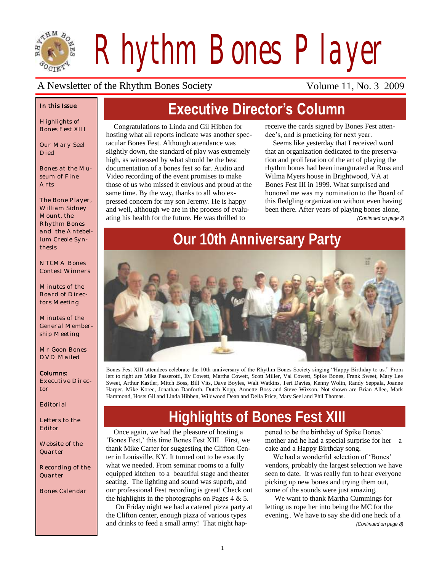

*Rhythm Bones Player*

#### A Newsletter of the Rhythm Bones Society Volume 11, No. 3 2009

#### *In this Issue*

*Highlights of Bones Fest XIII*

*Our Mary Seel Died*

*Bones at the Museum of Fine Arts*

*The Bone Player, William Sidney Mount, the Rhythm Bones and the Antebellum Creole Synthesis*

*NTCMA Bones Contest Winners*

*Minutes of the Board of Directors Meeting*

*Minutes of the General Membership Meeting*

*Mr Goon Bones DVD Mailed*

#### *Columns:*

*Executive Director*

*Editorial*

*Letters to the Editor*

*Website of the Quarter*

*Recording of the Quarter*

*Bones Calendar*

# **Executive Director's Column**

Congratulations to Linda and Gil Hibben for hosting what all reports indicate was another spectacular Bones Fest. Although attendance was slightly down, the standard of play was extremely high, as witnessed by what should be the best documentation of a bones fest so far. Audio and Video recording of the event promises to make those of us who missed it envious and proud at the same time. By the way, thanks to all who expressed concern for my son Jeremy. He is happy and well, although we are in the process of evaluating his health for the future. He was thrilled to

receive the cards signed by Bones Fest attendee"s, and is practicing for next year.

Seems like yesterday that I received word that an organization dedicated to the preservation and proliferation of the art of playing the rhythm bones had been inaugurated at Russ and Wilma Myers house in Brightwood, VA at Bones Fest III in 1999. What surprised and honored me was my nomination to the Board of this fledgling organization without even having been there. After years of playing bones alone,

*(Continued on page 2)*



Bones Fest XIII attendees celebrate the 10th anniversary of the Rhythm Bones Society singing "Happy Birthday to us." From left to right are Mike Passerotti, Ev Cowett, Martha Cowett, Scott Miller, Val Cowett, Spike Bones, Frank Sweet, Mary Lee Sweet, Arthur Kastler, Mitch Boss, Bill Vits, Dave Boyles, Walt Watkins, Teri Davies, Kenny Wolin, Randy Seppala, Joanne Harper, Mike Korec, Jonathan Danforth, Dutch Kopp, Annette Boss and Steve Wixson. Not shown are Brian Allee, Mark Hammond, Hosts Gil and Linda Hibben, Wildwood Dean and Della Price, Mary Seel and Phil Thomas.

# **Highlights of Bones Fest XIII**

Once again, we had the pleasure of hosting a "Bones Fest," this time Bones Fest XIII. First, we thank Mike Carter for suggesting the Clifton Center in Louisville, KY. It turned out to be exactly what we needed. From seminar rooms to a fully equipped kitchen to a beautiful stage and theater seating. The lighting and sound was superb, and our professional Fest recording is great! Check out the highlights in the photographs on Pages  $4 \& 5$ .

On Friday night we had a catered pizza party at the Clifton center, enough pizza of various types and drinks to feed a small army! That night happened to be the birthday of Spike Bones' mother and he had a special surprise for her—a cake and a Happy Birthday song.

We had a wonderful selection of 'Bones' vendors, probably the largest selection we have seen to date. It was really fun to hear everyone picking up new bones and trying them out, some of the sounds were just amazing.

We want to thank Martha Cummings for letting us rope her into being the MC for the evening.. We have to say she did one heck of a

*(Continued on page 8)*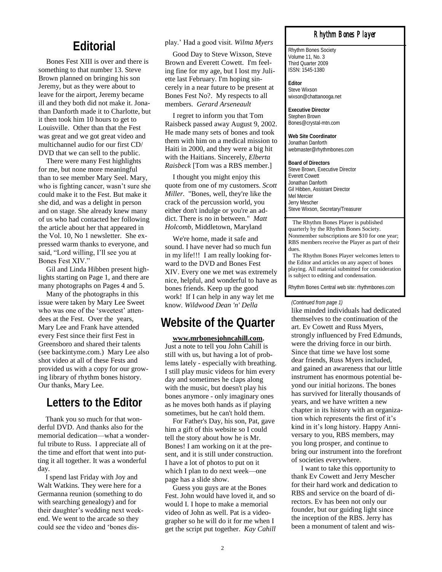#### **Editorial**

Bones Fest XIII is over and there is something to that number 13. Steve Brown planned on bringing his son Jeremy, but as they were about to leave for the airport, Jeremy became ill and they both did not make it. Jonathan Danforth made it to Charlotte, but it then took him 10 hours to get to Louisville. Other than that the Fest was great and we got great video and multichannel audio for our first CD/ DVD that we can sell to the public.

There were many Fest highlights for me, but none more meaningful than to see member Mary Seel. Mary, who is fighting cancer, wasn't sure she could make it to the Fest. But make it she did, and was a delight in person and on stage. She already knew many of us who had contacted her following the article about her that appeared in the Vol. 10, No 1 newsletter. She expressed warm thanks to everyone, and said, "Lord willing, I'll see you at Bones Fest XIV."

Gil and Linda Hibben present highlights starting on Page 1, and there are many photographs on Pages 4 and 5.

Many of the photographs in this issue were taken by Mary Lee Sweet who was one of the 'sweetest' attendees at the Fest. Over the years, Mary Lee and Frank have attended every Fest since their first Fest in Greensboro and shared their talents (see backintyme.com.) Mary Lee also shot video at all of these Fests and provided us with a copy for our growing library of rhythm bones history. Our thanks, Mary Lee.

#### **Letters to the Editor**

Thank you so much for that wonderful DVD. And thanks also for the memorial dedication—what a wonderful tribute to Russ. I appreciate all of the time and effort that went into putting it all together. It was a wonderful day.

I spend last Friday with Joy and Walt Watkins. They were here for a Germanna reunion (something to do with searching genealogy) and for their daughter"s wedding next weekend. We went to the arcade so they could see the video and "bones display." Had a good visit. *Wilma Myers*

Good Day to Steve Wixson, Steve Brown and Everett Cowett. I'm feeling fine for my age, but I lost my Juliette last February. I'm hoping sincerely in a near future to be present at Bones Fest No?. My respects to all members. *Gerard Arseneault* 

I regret to inform you that Tom Raisbeck passed away August 9, 2002. He made many sets of bones and took them with him on a medical mission to Haiti in 2000, and they were a big hit with the Haitians. Sincerely, *Elberta Raisbeck* [Tom was a RBS member.]

I thought you might enjoy this quote from one of my customers. *Scott Miller.* "Bones, well, they're like the crack of the percussion world, you either don't indulge or you're an addict. There is no in between." *Matt Holcomb,* Middletown, Maryland

We're home, made it safe and sound. I have never had so much fun in my life!!! I am really looking forward to the DVD and Bones Fest XIV. Every one we met was extremely nice, helpful, and wonderful to have as bones friends. Keep up the good work! If I can help in any way let me know. *Wildwood Dean 'n' Della*

#### **Website of the Quarter**

#### **[www.mrbonesjohncahill.com.](http://www.mrbonesjohncahill.com)**

Just a note to tell you John Cahill is still with us, but having a lot of problems lately - especially with breathing. I still play music videos for him every day and sometimes he claps along with the music, but doesn't play his bones anymore - only imaginary ones as he moves both hands as if playing sometimes, but he can't hold them.

For Father's Day, his son, Pat, gave him a gift of this website so I could tell the story about how he is Mr. Bones! I am working on it at the present, and it is still under construction. I have a lot of photos to put on it which I plan to do next week—one page has a slide show.

Guess you guys are at the Bones Fest. John would have loved it, and so would I. I hope to make a memorial video of John as well. Pat is a videographer so he will do it for me when I get the script put together. *Kay Cahill*

#### *Rhythm Bones Player*

Rhythm Bones Society Volume 11, No. 3 Third Quarter 2009 ISSN: 1545-1380

**Editor** Steve Wixson wixson@chattanooga.net

**Executive Director** Stephen Brown Bones@crystal-mtn.com

**Web Site Coordinator** Jonathan Danforth webmaster@rhythmbones.com

**Board of Directors** Steve Brown, Executive Director Everett Cowett Jonathan Danforth Gil Hibben, Assistant Director Mel Mercier Jerry Mescher Steve Wixson, Secretary/Treasurer

 The Rhythm Bones Player is published quarterly by the Rhythm Bones Society. Nonmember subscriptions are \$10 for one year; RBS members receive the Player as part of their dues.

 The Rhythm Bones Player welcomes letters to the Editor and articles on any aspect of bones playing. All material submitted for consideration is subject to editing and condensation.

Rhythm Bones Central web site: rhythmbones.com

#### *(Continued from page 1)*

like minded individuals had dedicated themselves to the continuation of the art. Ev Cowett and Russ Myers, strongly influenced by Fred Edmunds, were the driving force in our birth. Since that time we have lost some dear friends, Russ Myers included, and gained an awareness that our little instrument has enormous potential beyond our initial horizons. The bones has survived for literally thousands of years, and we have written a new chapter in its history with an organization which represents the first of it's kind in it"s long history. Happy Anniversary to you, RBS members, may you long prosper, and continue to bring our instrument into the forefront of societies everywhere.

I want to take this opportunity to thank Ev Cowett and Jerry Mescher for their hard work and dedication to RBS and service on the board of directors. Ev has been not only our founder, but our guiding light since the inception of the RBS. Jerry has been a monument of talent and wis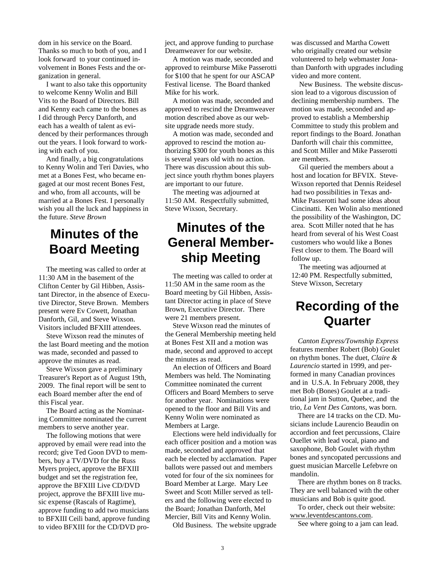dom in his service on the Board. Thanks so much to both of you, and I look forward to your continued involvement in Bones Fests and the organization in general.

I want to also take this opportunity to welcome Kenny Wolin and Bill Vits to the Board of Directors. Bill and Kenny each came to the bones as I did through Percy Danforth, and each has a wealth of talent as evidenced by their performances through out the years. I look forward to working with each of you.

And finally, a big congratulations to Kenny Wolin and Teri Davies, who met at a Bones Fest, who became engaged at our most recent Bones Fest, and who, from all accounts, will be married at a Bones Fest. I personally wish you all the luck and happiness in the future. *Steve Brown*

## **Minutes of the Board Meeting**

The meeting was called to order at 11:30 AM in the basement of the Clifton Center by Gil Hibben, Assistant Director, in the absence of Executive Director, Steve Brown. Members present were Ev Cowett, Jonathan Danforth, Gil, and Steve Wixson. Visitors included BFXIII attendees.

Steve Wixson read the minutes of the last Board meeting and the motion was made, seconded and passed to approve the minutes as read.

Steve Wixson gave a preliminary Treasurer's Report as of August 19th, 2009. The final report will be sent to each Board member after the end of this Fiscal year.

The Board acting as the Nominating Committee nominated the current members to serve another year.

The following motions that were approved by email were read into the record; give Ted Goon DVD to members, buy a TV/DVD for the Russ Myers project, approve the BFXIII budget and set the registration fee, approve the BFXIII Live CD/DVD project, approve the BFXIII live music expense (Rascals of Ragtime), approve funding to add two musicians to BFXIII Ceili band, approve funding to video BFXIII for the CD/DVD project, and approve funding to purchase Dreamweaver for our website.

A motion was made, seconded and approved to reimburse Mike Passerotti for \$100 that he spent for our ASCAP Festival license. The Board thanked Mike for his work.

A motion was made, seconded and approved to rescind the Dreamweaver motion described above as our website upgrade needs more study.

A motion was made, seconded and approved to rescind the motion authorizing \$300 for youth bones as this is several years old with no action. There was discussion about this subject since youth rhythm bones players are important to our future.

The meeting was adjourned at 11:50 AM. Respectfully submitted, Steve Wixson, Secretary.

### **Minutes of the General Membership Meeting**

The meeting was called to order at 11:50 AM in the same room as the Board meeting by Gil Hibben, Assistant Director acting in place of Steve Brown, Executive Director. There were 21 members present.

Steve Wixson read the minutes of the General Membership meeting held at Bones Fest XII and a motion was made, second and approved to accept the minutes as read.

An election of Officers and Board Members was held. The Nominating Committee nominated the current Officers and Board Members to serve for another year. Nominations were opened to the floor and Bill Vits and Kenny Wolin were nominated as Members at Large.

Elections were held individually for each officer position and a motion was made, seconded and approved that each be elected by acclamation. Paper ballots were passed out and members voted for four of the six nominees for Board Member at Large. Mary Lee Sweet and Scott Miller served as tellers and the following were elected to the Board; Jonathan Danforth, Mel Mercier, Bill Vits and Kenny Wolin.

Old Business. The website upgrade

was discussed and Martha Cowett who originally created our website volunteered to help webmaster Jonathan Danforth with upgrades including video and more content.

New Business. The website discussion lead to a vigorous discussion of declining membership numbers. The motion was made, seconded and approved to establish a Membership Committee to study this problem and report findings to the Board. Jonathan Danforth will chair this committee, and Scott Miller and Mike Passerotti are members.

Gil queried the members about a host and location for BFVIX. Steve-Wixson reported that Dennis Reidesel had two possibilities in Texas and-Mike Passerotti had some ideas about Cincinatti. Ken Wolin also mentioned the possibility of the Washington, DC area. Scott Miller noted that he has heard from several of his West Coast customers who would like a Bones Fest closer to them. The Board will follow up.

The meeting was adjourned at 12:40 PM. Respectfully submitted, Steve Wixson, Secretary

### **Recording of the Quarter**

*Canton Express/Township Express*  features member Robert (Bob) Goulet on rhythm bones. The duet, *Claire & Laurencio* started in 1999, and performed in many Canadian provinces and in U.S.A. In February 2008, they met Bob (Bones) Goulet at a traditional jam in Sutton, Quebec, and the trio, *La Vent Des Cantons*, was born.

There are 14 tracks on the CD. Musicians include Laurencio Beaudin on accordion and feet percussions, Claire Ouellet with lead vocal, piano and saxophone, Bob Goulet with rhythm bones and syncopated percussions and guest musician Marcelle Lefebvre on mandolin.

There are rhythm bones on 8 tracks. They are well balanced with the other musicians and Bob is quite good.

To order, check out their website: [www.leventdescantons.com.](http://www.leventdescantons.com)

See where going to a jam can lead.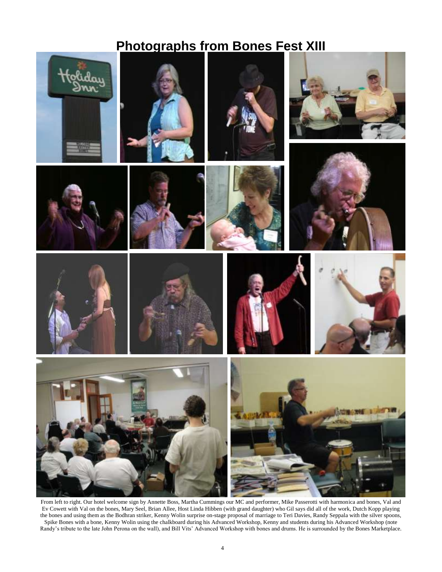# **Photographs from Bones Fest XIII**



From left to right. Our hotel welcome sign by Annette Boss, Martha Cummings our MC and performer, Mike Passerotti with harmonica and bones, Val and Ev Cowett with Val on the bones, Mary Seel, Brian Allee, Host Linda Hibben (with grand daughter) who Gil says did all of the work, Dutch Kopp playing the bones and using them as the Bodhran striker, Kenny Wolin surprise on-stage proposal of marriage to Teri Davies, Randy Seppala with the silver spoons, Spike Bones with a bone, Kenny Wolin using the chalkboard during his Advanced Workshop, Kenny and students during his Advanced Workshop (note Randy"s tribute to the late John Perona on the wall), and Bill Vits" Advanced Workshop with bones and drums. He is surrounded by the Bones Marketplace.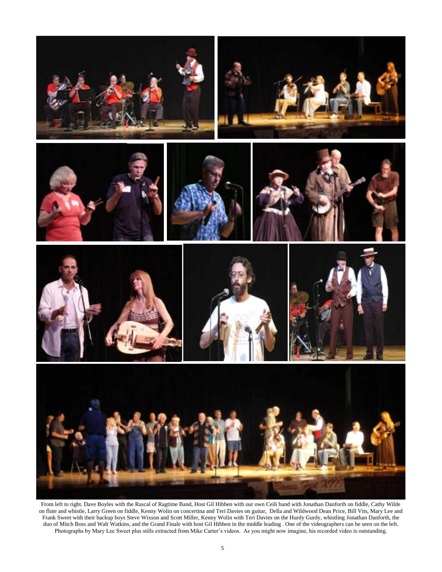

From left to right. Dave Boyles with the Rascal of Ragtime Band, Host Gil Hibben with our own Ceili band with Jonathan Danforth on fiddle, Cathy Wilde on flute and whistle, Larry Green on fiddle, Kenny Wolin on concertina and Teri Davies on guitar, Della and Wildwood Dean Price, Bill Vits, Mary Lee and Frank Sweet with their backup boys Steve Wixson and Scott Miller, Kenny Wolin with Teri Davies on the Hurdy Gurdy, whistling Jonathan Danforth, the duo of Mitch Boss and Walt Watkins, and the Grand Finale with host Gil Hibben in the middle leading . One of the videographers can be seen on the left. Photographs by Mary Lee Sweet plus stills extracted from Mike Carter"s videos. As you might now imagine, his recorded video is outstanding.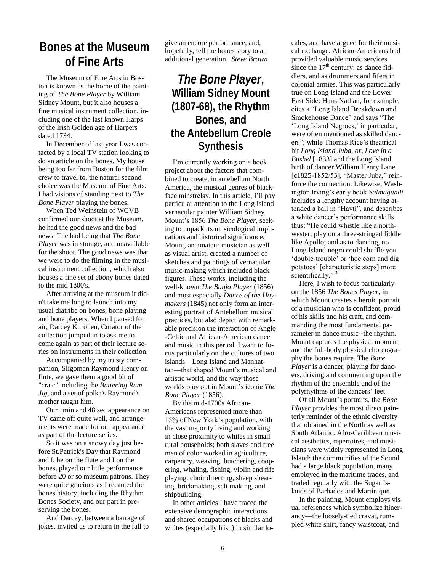### **Bones at the Museum of Fine Arts**

The Museum of Fine Arts in Boston is known as the home of the painting of *The Bone Player* by William Sidney Mount, but it also houses a fine musical instrument collection, including one of the last known Harps of the Irish Golden age of Harpers dated 1734.

In December of last year I was contacted by a local TV station looking to do an article on the bones. My house being too far from Boston for the film crew to travel to, the natural second choice was the Museum of Fine Arts. I had visions of standing next to *The Bone Player* playing the bones.

When Ted Weinstein of WCVB confirmed our shoot at the Museum, he had the good news and the bad news. The bad being that *The Bone Player* was in storage, and unavailable for the shoot. The good news was that we were to do the filming in the musical instrument collection, which also houses a fine set of ebony bones dated to the mid 1800's.

After arriving at the museum it didn't take me long to launch into my usual diatribe on bones, bone playing and bone players. When I paused for air, Darcey Kuronen, Curator of the collection jumped in to ask me to come again as part of their lecture series on instruments in their collection.

Accompanied by my trusty companion, Sligoman Raymond Henry on flute, we gave them a good bit of "craic" including the *Battering Ram Jig*, and a set of polka's Raymond's mother taught him.

Our 1min and 48 sec appearance on TV came off quite well, and arrangements were made for our appearance as part of the lecture series.

So it was on a snowy day just before St.Patrick's Day that Raymond and I, he on the flute and I on the bones, played our little performance before 20 or so museum patrons. They were quite gracious as I recanted the bones history, including the Rhythm Bones Society, and our part in preserving the bones.

And Darcey, between a barrage of jokes, invited us to return in the fall to give an encore performance, and, hopefully, tell the bones story to an additional generation. *Steve Brown*

### *The Bone Player***, William Sidney Mount (1807-68), the Rhythm Bones, and the Antebellum Creole Synthesis**

I"m currently working on a book project about the factors that combined to create, in antebellum North America, the musical genres of blackface minstrelsy. In this article, I"ll pay particular attention to the Long Island vernacular painter William Sidney Mount"s 1856 *The Bone Player*, seeking to unpack its musicological implications and historical significance. Mount, an amateur musician as well as visual artist, created a number of sketches and paintings of vernacular music-making which included black figures. These works, including the well-known *The Banjo Player* (1856) and most especially *Dance of the Haymakers* (1845) not only form an interesting portrait of Antebellum musical practices, but also depict with remarkable precision the interaction of Anglo -Celtic and African-American dance and music in this period. I want to focus particularly on the cultures of two islands—Long Island and Manhattan—that shaped Mount's musical and artistic world, and the way those worlds play out in Mount"s iconic *The Bone Player* (1856).

By the mid-1700s African-Americans represented more than 15% of New York"s population, with the vast majority living and working in close proximity to whites in small rural households; both slaves and free men of color worked in agriculture, carpentry, weaving, butchering, coopering, whaling, fishing, violin and fife playing, choir directing, sheep shearing, brickmaking, salt making, and shipbuilding.

In other articles I have traced the extensive demographic interactions and shared occupations of blacks and whites (especially Irish) in similar locales, and have argued for their musical exchange. African-Americans had provided valuable music services since the  $17<sup>th</sup>$  century: as dance fiddlers, and as drummers and fifers in colonial armies. This was particularly true on Long Island and the Lower East Side: Hans Nathan, for example, cites a "Long Island Breakdown and Smokehouse Dance" and says "The "Long Island Negroes," in particular, were often mentioned as skilled dancers"; while Thomas Rice's theatrical hit *Long Island Juba, or, Love in a Bushel* [1833] and the Long Island birth of dancer William Henry Lane [c1825-1852/53], "Master Juba," reinforce the connection. Likewise, Washington Irving"s early book *Salmagundi* includes a lengthy account having attended a ball in "Hayti", and describes a white dancer"s performance skills thus: "He could whistle like a northwester; play on a three-stringed fiddle like Apollo; and as to dancing, no Long Island negro could shuffle you 'double-trouble' or 'hoe corn and dig potatoes" [characteristic steps] more scientifically."<sup>2</sup>

Here, I wish to focus particularly on the 1856 *The Bones Player*, in which Mount creates a heroic portrait of a musician who is confident, proud of his skills and his craft, and commanding the most fundamental parameter in dance music--the rhythm. Mount captures the physical moment and the full-body physical choreography the bones require. The *Bone Player* is a dancer, playing for dancers, driving and commenting upon the rhythm of the ensemble and of the polyrhythms of the dancers" feet.

Of all Mount"s portraits, the *Bone Player* provides the most direct painterly reminder of the ethnic diversity that obtained in the North as well as South Atlantic. Afro-Caribbean musical aesthetics, repertoires, and musicians were widely represented in Long Island: the communities of the Sound had a large black population, many employed in the maritime trades, and traded regularly with the Sugar Islands of Barbados and Martinique.

In the painting, Mount employs visual references which symbolize itinerancy—the loosely-tied cravat, rumpled white shirt, fancy waistcoat, and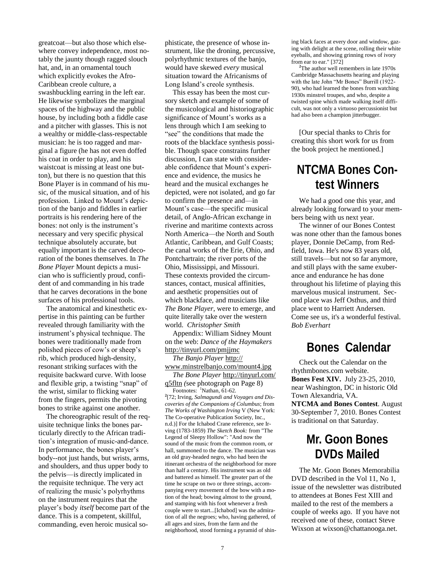greatcoat—but also those which elsewhere convey independence, most notably the jaunty though ragged slouch hat, and, in an ornamental touch which explicitly evokes the Afro-Caribbean creole culture, a swashbuckling earring in the left ear. He likewise symbolizes the marginal spaces of the highway and the public house, by including both a fiddle case and a pitcher with glasses. This is not a wealthy or middle-class-respectable musician: he is too ragged and marginal a figure (he has not even doffed his coat in order to play, and his waistcoat is missing at least one button), but there is no question that this Bone Player is in command of his music, of the musical situation, and of his profession. Linked to Mount's depiction of the banjo and fiddles in earlier portraits is his rendering here of the bones: not only is the instrument's necessary and very specific physical technique absolutely accurate, but equally important is the carved decoration of the bones themselves. In *The Bone Player* Mount depicts a musician who is sufficiently proud, confident of and commanding in his trade that he carves decorations in the bone surfaces of his professional tools.

The anatomical and kinesthetic expertise in this painting can be further revealed through familiarity with the instrument"s physical technique. The bones were traditionally made from polished pieces of cow"s or sheep"s rib, which produced high-density, resonant striking surfaces with the requisite backward curve. With loose and flexible grip, a twisting "snap" of the wrist, similar to flicking water from the fingers, permits the pivoting bones to strike against one another.

The choreographic result of the requisite technique links the bones particularly directly to the African tradition"s integration of music-and-dance. In performance, the bones player"s body--not just hands, but wrists, arms, and shoulders, and thus upper body to the pelvis—is directly implicated in the requisite technique. The very act of realizing the music"s polyrhythms on the instrument requires that the player"s body *itself* become part of the dance. This is a competent, skillful, commanding, even heroic musical sophisticate, the presence of whose instrument, like the droning, percussive, polyrhythmic textures of the banjo, would have skewed *every* musical situation toward the Africanisms of Long Island"s creole synthesis.

This essay has been the most cursory sketch and example of some of the musicological and historiographic significance of Mount's works as a lens through which I am seeking to "see" the conditions that made the roots of the blackface synthesis possible. Though space constrains further discussion, I can state with considerable confidence that Mount's experience and evidence, the musics he heard and the musical exchanges he depicted, were not isolated, and go far to confirm the presence and—in Mount"s case—the specific musical detail, of Anglo-African exchange in riverine and maritime contexts across North America—the North and South Atlantic, Caribbean, and Gulf Coasts; the canal works of the Erie, Ohio, and Pontchartrain; the river ports of the Ohio, Mississippi, and Missouri. These contexts provided the circumstances, contact, musical affinities, and aesthetic propensities out of which blackface, and musicians like *The Bone Player*, were to emerge, and quite literally take over the western world. *Christopher Smith*

Appendix: William Sidney Mount on the web: *Dance of the Haymakers*  <http://tinyurl.com/pmjjmc>

*The Banjo Player* [http://](http://www.minstrelbanjo.com/mount4.jpg) [www.minstrelbanjo.com/mount4.jpg](http://www.minstrelbanjo.com/mount4.jpg)

*The Bone Player* [http://tinyurl.com/](http://tinyurl.com/q5fltn) [q5fltn](http://tinyurl.com/q5fltn) *(*see photograph on Page 8)

Footnotes: <sup>1</sup>Nathan, 61-62. **2** [72; Irving, *Salmagundi and Voyages and Discoveries of the Companions of Columbus*; from *The Works of Washington Irving* V (New York: The Co-operative Publication Society, Inc., n.d.)] For the Ichabod Crane reference, see Irving (1783-1859) *The Sketch Book:* from "The Legend of Sleepy Hollow": "And now the sound of the music from the common room, or hall, summoned to the dance. The musician was an old gray-headed negro, who had been the itinerant orchestra of the neighborhood for more than half a century. His instrument was as old and battered as himself. The greater part of the time he scrape on two or three strings, accompanying every movement of the bow with a motion of the head; bowing almost to the ground, and stamping with his foot whenever a fresh couple were to start...[Ichabod] was the admiration of all the negroes; who, having gathered, of all ages and sizes, from the farm and the neighborhood, stood forming a pyramid of shining black faces at every door and window, gazing with delight at the scene, rolling their white eyeballs, and showing grinning rows of ivory from ear to ear." [372]

**<sup>2</sup>**The author well remembers in late 1970s Cambridge Massachusetts hearing and playing with the late John "Mr Bones" Burrill (1922- 90), who had learned the bones from watching 1930s minstrel troupes, and who, despite a twisted spine which made walking itself difficult, was not only a virtuoso percussionist but had also been a champion jitterbugger.

[Our special thanks to Chris for creating this short work for us from the book project he mentioned.]

## **NTCMA Bones Contest Winners**

We had a good one this year, and already looking forward to your members being with us next year.

The winner of our Bones Contest was none other than the famous bones player, Donnie DeCamp, from Redfield, Iowa. He's now 83 years old, still travels—but not so far anymore, and still plays with the same exuberance and endurance he has done throughout his lifetime of playing this marvelous musical instrument. Second place was Jeff Osthus, and third place went to Harriett Andersen. Come see us, it's a wonderful festival. *Bob Everhart*

### **Bones Calendar**

Check out the Calendar on the rhythmbones.com website. **Bones Fest XIV.** July 23-25, 2010, near Washington, DC in historic Old Town Alexandria, VA. **NTCMA and Bones Contest**. August 30-September 7, 2010. Bones Contest is traditional on that Saturday.

### **Mr. Goon Bones DVDs Mailed**

The Mr. Goon Bones Memorabilia DVD described in the Vol 11, No 1. issue of the newsletter was distributed to attendees at Bones Fest XIII and mailed to the rest of the members a couple of weeks ago. If you have not received one of these, contact Steve Wixson at wixson@chattanooga.net.